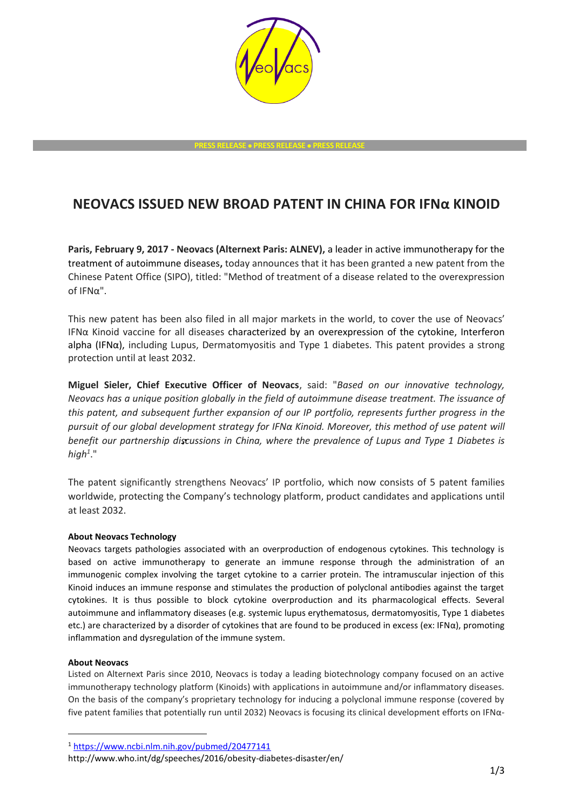

## **NEOVACS ISSUED NEW BROAD PATENT IN CHINA FOR IFNα KINOID**

**Paris, February 9, 2017 - Neovacs (Alternext Paris: ALNEV),** a leader in active immunotherapy for the treatment of autoimmune diseases**,** today announces that it has been granted a new patent from the Chinese Patent Office (SIPO), titled: "Method of treatment of a disease related to the overexpression of IFNα".

This new patent has been also filed in all major markets in the world, to cover the use of Neovacs' IFNα Kinoid vaccine for all diseases characterized by an overexpression of the cytokine, Interferon alpha (IFNα), including Lupus, Dermatomyositis and Type 1 diabetes. This patent provides a strong protection until at least 2032.

**Miguel Sieler, Chief Executive Officer of Neovacs**, said: "*Based on our innovative technology, Neovacs has a unique position globally in the field of autoimmune disease treatment. The issuance of this patent, and subsequent further expansion of our IP portfolio, represents further progress in the pursuit of our global development strategy for IFNα Kinoid. Moreover, this method of use patent will benefit our partnership discussions in China, where the prevalence of Lupus and Type 1 Diabetes is high<sup>1</sup>* ."

The patent significantly strengthens Neovacs' IP portfolio, which now consists of 5 patent families worldwide, protecting the Company's technology platform, product candidates and applications until at least 2032.

## **About Neovacs Technology**

Neovacs targets pathologies associated with an overproduction of endogenous cytokines. This technology is based on active immunotherapy to generate an immune response through the administration of an immunogenic complex involving the target cytokine to a carrier protein. The intramuscular injection of this Kinoid induces an immune response and stimulates the production of polyclonal antibodies against the target cytokines. It is thus possible to block cytokine overproduction and its pharmacological effects. Several autoimmune and inflammatory diseases (e.g. systemic lupus erythematosus, dermatomyositis, Type 1 diabetes etc.) are characterized by a disorder of cytokines that are found to be produced in excess (ex: IFNα), promoting inflammation and dysregulation of the immune system.

## **About Neovacs**

-

Listed on Alternext Paris since 2010, Neovacs is today a leading biotechnology company focused on an active immunotherapy technology platform (Kinoids) with applications in autoimmune and/or inflammatory diseases. On the basis of the company's proprietary technology for inducing a polyclonal immune response (covered by five patent families that potentially run until 2032) Neovacs is focusing its clinical development efforts on IFNα-

<sup>1</sup> <https://www.ncbi.nlm.nih.gov/pubmed/20477141>

http://www.who.int/dg/speeches/2016/obesity-diabetes-disaster/en/